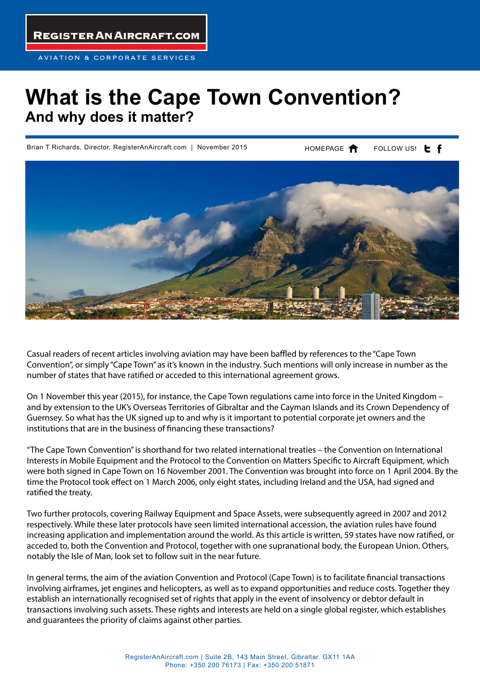**REGISTER AN AIRCRAFT.COM** 

## **What is the Cape Town Convention? And why does it matter?**

Brian T Richards, Director, RegisterAnAircraft.com | November 2015

HOMEPAGE **A** FOLLOW US! **L** f



Casual readers of recent articles involving aviation may have been baffled by references to the "Cape Town Convention", or simply "Cape Town" as it's known in the industry. Such mentions will only increase in number as the number of states that have ratified or acceded to this international agreement grows.

On 1 November this year (2015), for instance, the Cape Town regulations came into force in the United Kingdom – and by extension to the UK's Overseas Territories of Gibraltar and the Cayman Islands and its Crown Dependency of Guernsey. So what has the UK signed up to and why is it important to potential corporate jet owners and the institutions that are in the business of financing these transactions?

"The Cape Town Convention" is shorthand for two related international treaties – the Convention on International Interests in Mobile Equipment and the Protocol to the Convention on Matters Specific to Aircraft Equipment, which were both signed in Cape Town on 16 November 2001. The Convention was brought into force on 1 April 2004. By the time the Protocol took effect on 1 March 2006, only eight states, including Ireland and the USA, had signed and ratified the treaty.

Two further protocols, covering Railway Equipment and Space Assets, were subsequently agreed in 2007 and 2012 respectively. While these later protocols have seen limited international accession, the aviation rules have found increasing application and implementation around the world. As this article is written, 59 states have now ratified, or acceded to, both the Convention and Protocol, together with one supranational body, the European Union. Others, notably the Isle of Man, look set to follow suit in the near future.

In general terms, the aim of the aviation Convention and Protocol (Cape Town) is to facilitate financial transactions involving airframes, jet engines and helicopters, as well as to expand opportunities and reduce costs. Together they establish an internationally recognised set of rights that apply in the event of insolvency or debtor default in transactions involving such assets. These rights and interests are held on a single global register, which establishes and guarantees the priority of claims against other parties.